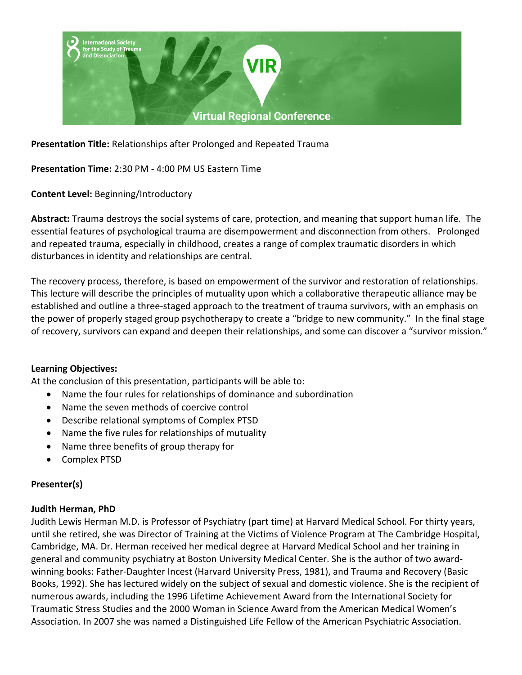

**Presentation Title:** Relationships after Prolonged and Repeated Trauma

**Presentation Time:** 2:30 PM - 4:00 PM US Eastern Time

**Content Level:** Beginning/Introductory

**Abstract:** Trauma destroys the social systems of care, protection, and meaning that support human life. The essential features of psychological trauma are disempowerment and disconnection from others. Prolonged and repeated trauma, especially in childhood, creates a range of complex traumatic disorders in which disturbances in identity and relationships are central.

The recovery process, therefore, is based on empowerment of the survivor and restoration of relationships. This lecture will describe the principles of mutuality upon which a collaborative therapeutic alliance may be established and outline a three-staged approach to the treatment of trauma survivors, with an emphasis on the power of properly staged group psychotherapy to create a "bridge to new community." In the final stage of recovery, survivors can expand and deepen their relationships, and some can discover a "survivor mission."

## **Learning Objectives:**

At the conclusion of this presentation, participants will be able to:

- Name the four rules for relationships of dominance and subordination
- Name the seven methods of coercive control
- Describe relational symptoms of Complex PTSD
- Name the five rules for relationships of mutuality
- Name three benefits of group therapy for
- Complex PTSD

## **Presenter(s)**

## **Judith Herman, PhD**

Judith Lewis Herman M.D. is Professor of Psychiatry (part time) at Harvard Medical School. For thirty years, until she retired, she was Director of Training at the Victims of Violence Program at The Cambridge Hospital, Cambridge, MA. Dr. Herman received her medical degree at Harvard Medical School and her training in general and community psychiatry at Boston University Medical Center. She is the author of two awardwinning books: Father-Daughter Incest (Harvard University Press, 1981), and Trauma and Recovery (Basic Books, 1992). She has lectured widely on the subject of sexual and domestic violence. She is the recipient of numerous awards, including the 1996 Lifetime Achievement Award from the International Society for Traumatic Stress Studies and the 2000 Woman in Science Award from the American Medical Women's Association. In 2007 she was named a Distinguished Life Fellow of the American Psychiatric Association.